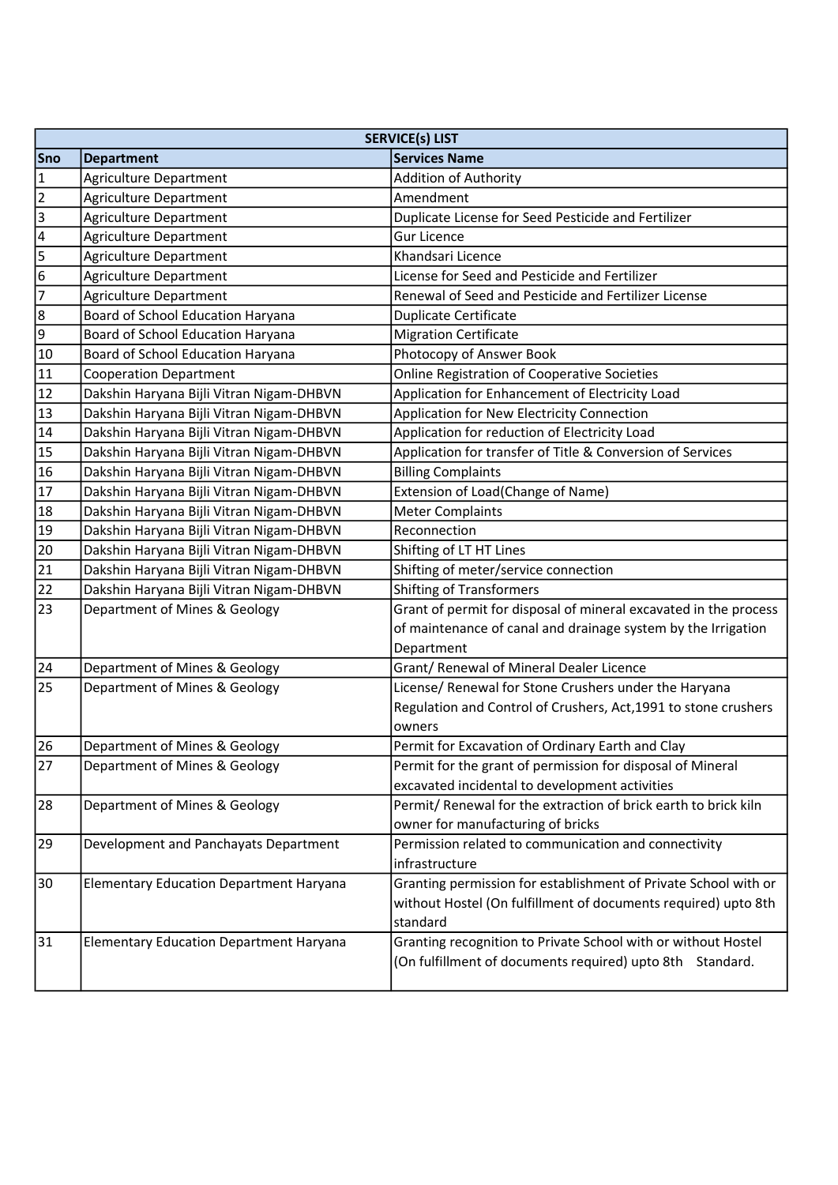|                 | <b>SERVICE(s) LIST</b>                         |                                                                  |  |
|-----------------|------------------------------------------------|------------------------------------------------------------------|--|
| Sno             | <b>Department</b>                              | <b>Services Name</b>                                             |  |
| $\mathbf{1}$    | Agriculture Department                         | <b>Addition of Authority</b>                                     |  |
| $\overline{2}$  | Agriculture Department                         | Amendment                                                        |  |
| $\vert$ 3       | <b>Agriculture Department</b>                  | Duplicate License for Seed Pesticide and Fertilizer              |  |
| $\overline{4}$  | <b>Agriculture Department</b>                  | <b>Gur Licence</b>                                               |  |
| 5               | Agriculture Department                         | Khandsari Licence                                                |  |
| $6\overline{6}$ | <b>Agriculture Department</b>                  | License for Seed and Pesticide and Fertilizer                    |  |
| $\overline{7}$  | <b>Agriculture Department</b>                  | Renewal of Seed and Pesticide and Fertilizer License             |  |
| 8               | Board of School Education Haryana              | <b>Duplicate Certificate</b>                                     |  |
| 9               | Board of School Education Haryana              | <b>Migration Certificate</b>                                     |  |
| 10              | Board of School Education Haryana              | Photocopy of Answer Book                                         |  |
| 11              | <b>Cooperation Department</b>                  | Online Registration of Cooperative Societies                     |  |
| 12              | Dakshin Haryana Bijli Vitran Nigam-DHBVN       | Application for Enhancement of Electricity Load                  |  |
| 13              | Dakshin Haryana Bijli Vitran Nigam-DHBVN       | Application for New Electricity Connection                       |  |
| 14              | Dakshin Haryana Bijli Vitran Nigam-DHBVN       | Application for reduction of Electricity Load                    |  |
| 15              | Dakshin Haryana Bijli Vitran Nigam-DHBVN       | Application for transfer of Title & Conversion of Services       |  |
| 16              | Dakshin Haryana Bijli Vitran Nigam-DHBVN       | <b>Billing Complaints</b>                                        |  |
| 17              | Dakshin Haryana Bijli Vitran Nigam-DHBVN       | Extension of Load(Change of Name)                                |  |
| 18              | Dakshin Haryana Bijli Vitran Nigam-DHBVN       | <b>Meter Complaints</b>                                          |  |
| 19              | Dakshin Haryana Bijli Vitran Nigam-DHBVN       | Reconnection                                                     |  |
| 20              | Dakshin Haryana Bijli Vitran Nigam-DHBVN       | Shifting of LT HT Lines                                          |  |
| 21              | Dakshin Haryana Bijli Vitran Nigam-DHBVN       | Shifting of meter/service connection                             |  |
| 22              | Dakshin Haryana Bijli Vitran Nigam-DHBVN       | <b>Shifting of Transformers</b>                                  |  |
| 23              | Department of Mines & Geology                  | Grant of permit for disposal of mineral excavated in the process |  |
|                 |                                                | of maintenance of canal and drainage system by the Irrigation    |  |
|                 |                                                | Department                                                       |  |
| 24              | Department of Mines & Geology                  | Grant/ Renewal of Mineral Dealer Licence                         |  |
| 25              | Department of Mines & Geology                  | License/ Renewal for Stone Crushers under the Haryana            |  |
|                 |                                                | Regulation and Control of Crushers, Act, 1991 to stone crushers  |  |
|                 |                                                | owners                                                           |  |
| 26              | Department of Mines & Geology                  | Permit for Excavation of Ordinary Earth and Clay                 |  |
| 27              | Department of Mines & Geology                  | Permit for the grant of permission for disposal of Mineral       |  |
|                 |                                                | excavated incidental to development activities                   |  |
| 28              | Department of Mines & Geology                  | Permit/ Renewal for the extraction of brick earth to brick kiln  |  |
|                 |                                                | owner for manufacturing of bricks                                |  |
| 29              | Development and Panchayats Department          | Permission related to communication and connectivity             |  |
|                 |                                                | infrastructure                                                   |  |
| 30              | <b>Elementary Education Department Haryana</b> | Granting permission for establishment of Private School with or  |  |
|                 |                                                | without Hostel (On fulfillment of documents required) upto 8th   |  |
|                 |                                                | standard                                                         |  |
| 31              | <b>Elementary Education Department Haryana</b> | Granting recognition to Private School with or without Hostel    |  |
|                 |                                                | (On fulfillment of documents required) upto 8th Standard.        |  |
|                 |                                                |                                                                  |  |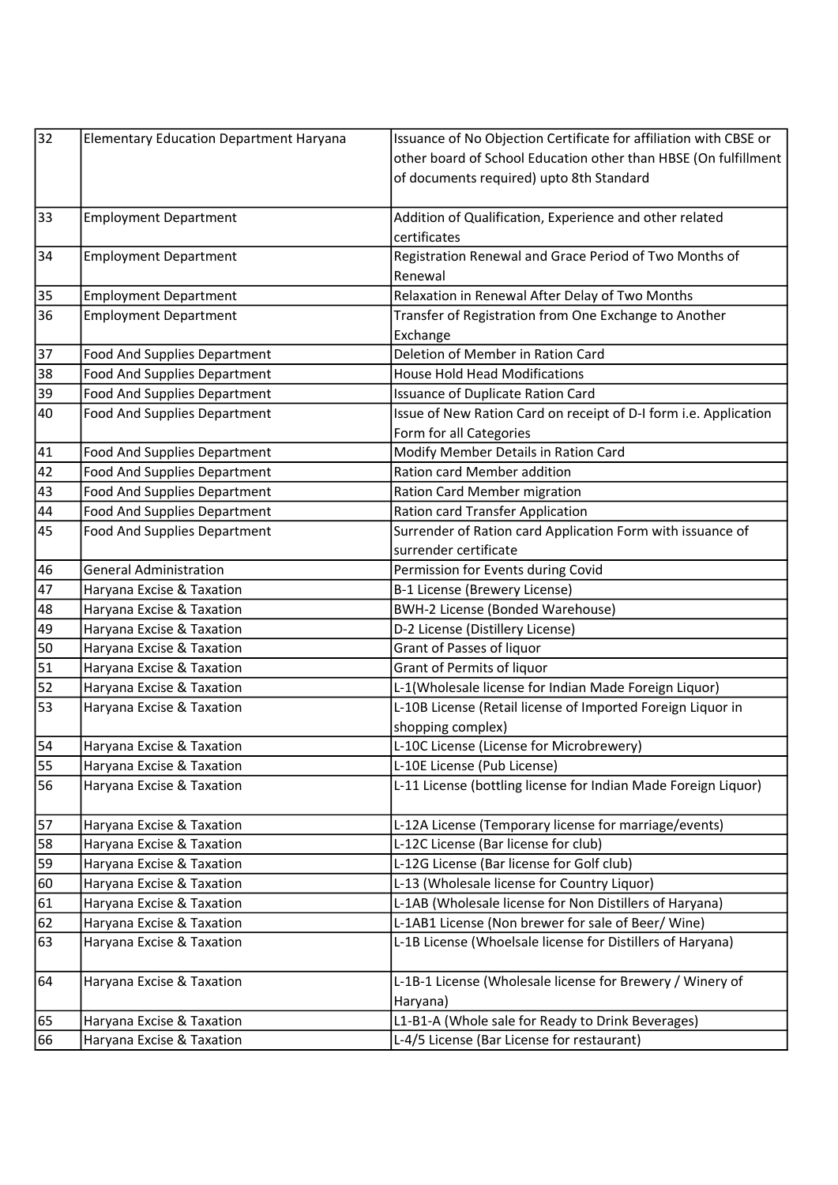| $\overline{32}$ | <b>Elementary Education Department Haryana</b> | Issuance of No Objection Certificate for affiliation with CBSE or |
|-----------------|------------------------------------------------|-------------------------------------------------------------------|
|                 |                                                | other board of School Education other than HBSE (On fulfillment   |
|                 |                                                | of documents required) upto 8th Standard                          |
|                 |                                                |                                                                   |
| 33              | <b>Employment Department</b>                   | Addition of Qualification, Experience and other related           |
|                 |                                                | certificates                                                      |
| 34              | <b>Employment Department</b>                   | Registration Renewal and Grace Period of Two Months of            |
|                 |                                                | Renewal                                                           |
| 35              | <b>Employment Department</b>                   | Relaxation in Renewal After Delay of Two Months                   |
| 36              | <b>Employment Department</b>                   | Transfer of Registration from One Exchange to Another             |
|                 |                                                | Exchange                                                          |
| 37              | Food And Supplies Department                   | Deletion of Member in Ration Card                                 |
| 38              | Food And Supplies Department                   | <b>House Hold Head Modifications</b>                              |
| 39              | Food And Supplies Department                   | Issuance of Duplicate Ration Card                                 |
| 40              | Food And Supplies Department                   | Issue of New Ration Card on receipt of D-I form i.e. Application  |
|                 |                                                | Form for all Categories                                           |
| 41              | Food And Supplies Department                   | Modify Member Details in Ration Card                              |
| 42              | Food And Supplies Department                   | Ration card Member addition                                       |
| 43              | Food And Supplies Department                   | Ration Card Member migration                                      |
| 44              | Food And Supplies Department                   | Ration card Transfer Application                                  |
| 45              | Food And Supplies Department                   | Surrender of Ration card Application Form with issuance of        |
|                 |                                                | surrender certificate                                             |
| 46              | <b>General Administration</b>                  | Permission for Events during Covid                                |
| 47              | Haryana Excise & Taxation                      | B-1 License (Brewery License)                                     |
| 48              | Haryana Excise & Taxation                      | BWH-2 License (Bonded Warehouse)                                  |
| 49              | Haryana Excise & Taxation                      | D-2 License (Distillery License)                                  |
| 50              | Haryana Excise & Taxation                      | Grant of Passes of liquor                                         |
| 51              | Haryana Excise & Taxation                      | Grant of Permits of liquor                                        |
| 52              | Haryana Excise & Taxation                      | L-1(Wholesale license for Indian Made Foreign Liquor)             |
| 53              | Haryana Excise & Taxation                      | L-10B License (Retail license of Imported Foreign Liquor in       |
|                 |                                                | shopping complex)                                                 |
| 54              | Haryana Excise & Taxation                      | L-10C License (License for Microbrewery)                          |
| 55              | Haryana Excise & Taxation                      | L-10E License (Pub License)                                       |
| 56              | Haryana Excise & Taxation                      | L-11 License (bottling license for Indian Made Foreign Liquor)    |
|                 |                                                |                                                                   |
| 57              | Haryana Excise & Taxation                      | L-12A License (Temporary license for marriage/events)             |
| 58              | Haryana Excise & Taxation                      | L-12C License (Bar license for club)                              |
| 59              | Haryana Excise & Taxation                      | L-12G License (Bar license for Golf club)                         |
| 60              | Haryana Excise & Taxation                      | L-13 (Wholesale license for Country Liquor)                       |
| 61              | Haryana Excise & Taxation                      | L-1AB (Wholesale license for Non Distillers of Haryana)           |
| 62              | Haryana Excise & Taxation                      | L-1AB1 License (Non brewer for sale of Beer/Wine)                 |
| 63              | Haryana Excise & Taxation                      | L-1B License (Whoelsale license for Distillers of Haryana)        |
|                 |                                                |                                                                   |
| 64              | Haryana Excise & Taxation                      | L-1B-1 License (Wholesale license for Brewery / Winery of         |
|                 |                                                | Haryana)                                                          |
| 65              | Haryana Excise & Taxation                      | L1-B1-A (Whole sale for Ready to Drink Beverages)                 |
| 66              | Haryana Excise & Taxation                      | L-4/5 License (Bar License for restaurant)                        |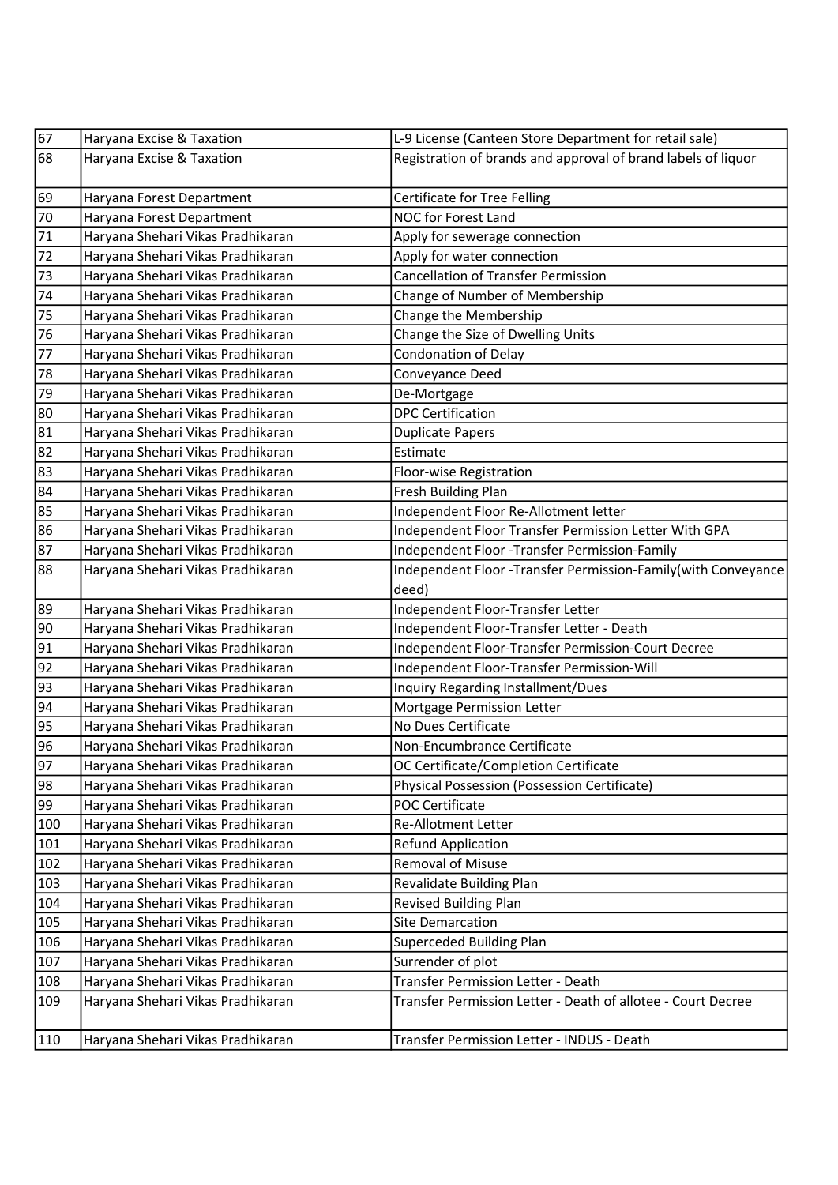| 67  | Haryana Excise & Taxation         | L-9 License (Canteen Store Department for retail sale)        |
|-----|-----------------------------------|---------------------------------------------------------------|
| 68  | Haryana Excise & Taxation         | Registration of brands and approval of brand labels of liquor |
| 69  | Haryana Forest Department         | Certificate for Tree Felling                                  |
| 70  | Haryana Forest Department         | NOC for Forest Land                                           |
| 71  | Haryana Shehari Vikas Pradhikaran | Apply for sewerage connection                                 |
| 72  | Haryana Shehari Vikas Pradhikaran | Apply for water connection                                    |
| 73  | Haryana Shehari Vikas Pradhikaran | <b>Cancellation of Transfer Permission</b>                    |
| 74  | Haryana Shehari Vikas Pradhikaran | Change of Number of Membership                                |
| 75  | Haryana Shehari Vikas Pradhikaran | Change the Membership                                         |
| 76  | Haryana Shehari Vikas Pradhikaran | Change the Size of Dwelling Units                             |
| 77  | Haryana Shehari Vikas Pradhikaran | <b>Condonation of Delay</b>                                   |
| 78  | Haryana Shehari Vikas Pradhikaran | Conveyance Deed                                               |
| 79  | Haryana Shehari Vikas Pradhikaran | De-Mortgage                                                   |
| 80  | Haryana Shehari Vikas Pradhikaran | <b>DPC Certification</b>                                      |
| 81  | Haryana Shehari Vikas Pradhikaran | <b>Duplicate Papers</b>                                       |
| 82  | Haryana Shehari Vikas Pradhikaran | Estimate                                                      |
| 83  | Haryana Shehari Vikas Pradhikaran | Floor-wise Registration                                       |
| 84  | Haryana Shehari Vikas Pradhikaran | Fresh Building Plan                                           |
| 85  | Haryana Shehari Vikas Pradhikaran | Independent Floor Re-Allotment letter                         |
| 86  | Haryana Shehari Vikas Pradhikaran | Independent Floor Transfer Permission Letter With GPA         |
| 87  | Haryana Shehari Vikas Pradhikaran | Independent Floor -Transfer Permission-Family                 |
| 88  | Haryana Shehari Vikas Pradhikaran | Independent Floor -Transfer Permission-Family(with Conveyance |
|     |                                   | deed)                                                         |
| 89  | Haryana Shehari Vikas Pradhikaran | Independent Floor-Transfer Letter                             |
| 90  | Haryana Shehari Vikas Pradhikaran | Independent Floor-Transfer Letter - Death                     |
| 91  | Haryana Shehari Vikas Pradhikaran | Independent Floor-Transfer Permission-Court Decree            |
| 92  | Haryana Shehari Vikas Pradhikaran | Independent Floor-Transfer Permission-Will                    |
| 93  | Haryana Shehari Vikas Pradhikaran | Inquiry Regarding Installment/Dues                            |
| 94  | Haryana Shehari Vikas Pradhikaran | Mortgage Permission Letter                                    |
| 95  | Haryana Shehari Vikas Pradhikaran | No Dues Certificate                                           |
| 96  | Haryana Shehari Vikas Pradhikaran | Non-Encumbrance Certificate                                   |
| 97  | Haryana Shehari Vikas Pradhikaran | OC Certificate/Completion Certificate                         |
| 98  | Haryana Shehari Vikas Pradhikaran | Physical Possession (Possession Certificate)                  |
| 99  | Haryana Shehari Vikas Pradhikaran | <b>POC Certificate</b>                                        |
| 100 | Haryana Shehari Vikas Pradhikaran | Re-Allotment Letter                                           |
| 101 | Haryana Shehari Vikas Pradhikaran | <b>Refund Application</b>                                     |
| 102 | Haryana Shehari Vikas Pradhikaran | <b>Removal of Misuse</b>                                      |
| 103 | Haryana Shehari Vikas Pradhikaran | Revalidate Building Plan                                      |
| 104 | Haryana Shehari Vikas Pradhikaran | Revised Building Plan                                         |
| 105 | Haryana Shehari Vikas Pradhikaran | <b>Site Demarcation</b>                                       |
| 106 | Haryana Shehari Vikas Pradhikaran | <b>Superceded Building Plan</b>                               |
| 107 | Haryana Shehari Vikas Pradhikaran | Surrender of plot                                             |
| 108 | Haryana Shehari Vikas Pradhikaran | Transfer Permission Letter - Death                            |
| 109 | Haryana Shehari Vikas Pradhikaran | Transfer Permission Letter - Death of allotee - Court Decree  |
| 110 | Haryana Shehari Vikas Pradhikaran | Transfer Permission Letter - INDUS - Death                    |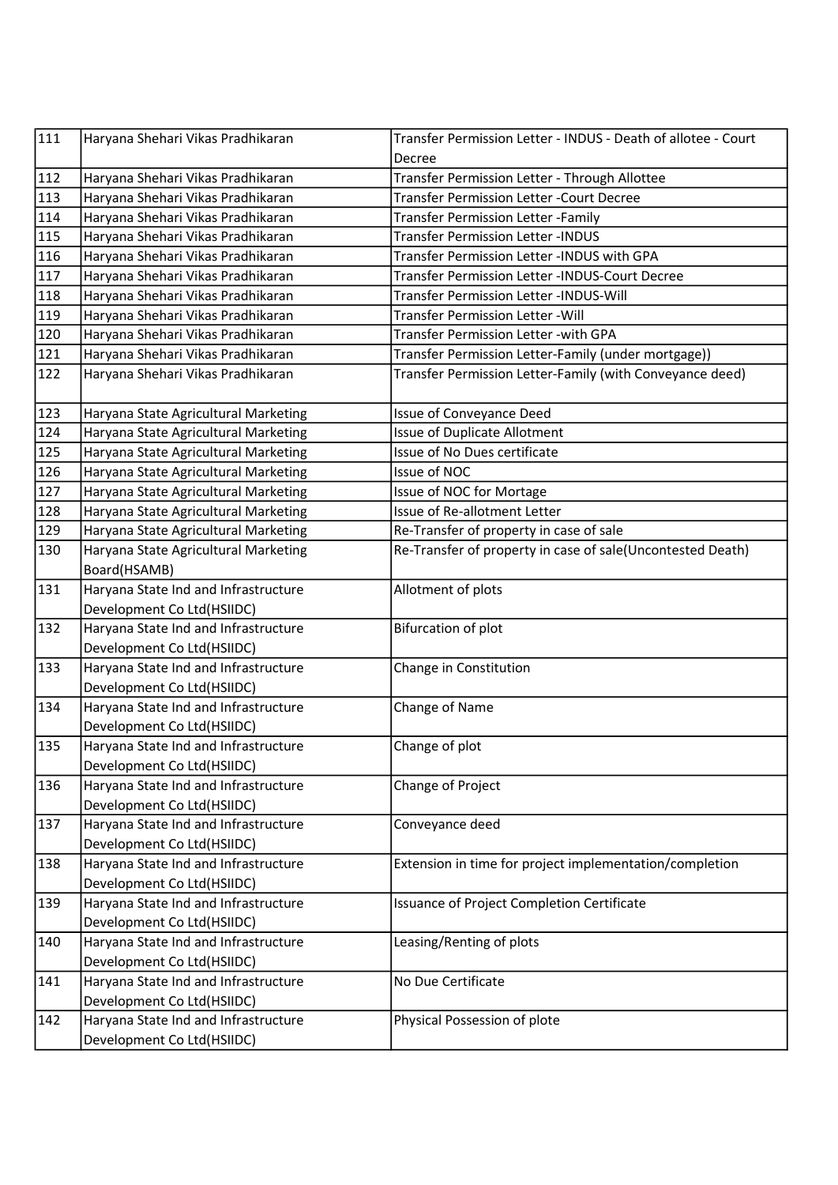| $\lceil$ 111 | Haryana Shehari Vikas Pradhikaran    | Transfer Permission Letter - INDUS - Death of allotee - Court |
|--------------|--------------------------------------|---------------------------------------------------------------|
|              |                                      | Decree                                                        |
| 112          | Haryana Shehari Vikas Pradhikaran    | Transfer Permission Letter - Through Allottee                 |
| 113          | Haryana Shehari Vikas Pradhikaran    | Transfer Permission Letter - Court Decree                     |
| 114          | Haryana Shehari Vikas Pradhikaran    | Transfer Permission Letter - Family                           |
| 115          | Haryana Shehari Vikas Pradhikaran    | <b>Transfer Permission Letter -INDUS</b>                      |
| 116          | Haryana Shehari Vikas Pradhikaran    | Transfer Permission Letter -INDUS with GPA                    |
| 117          | Haryana Shehari Vikas Pradhikaran    | Transfer Permission Letter -INDUS-Court Decree                |
| 118          | Haryana Shehari Vikas Pradhikaran    | Transfer Permission Letter -INDUS-Will                        |
| 119          | Haryana Shehari Vikas Pradhikaran    | Transfer Permission Letter - Will                             |
| 120          | Haryana Shehari Vikas Pradhikaran    | Transfer Permission Letter - with GPA                         |
| 121          | Haryana Shehari Vikas Pradhikaran    | Transfer Permission Letter-Family (under mortgage))           |
| 122          | Haryana Shehari Vikas Pradhikaran    | Transfer Permission Letter-Family (with Conveyance deed)      |
| 123          | Haryana State Agricultural Marketing | <b>Issue of Conveyance Deed</b>                               |
| 124          | Haryana State Agricultural Marketing | <b>Issue of Duplicate Allotment</b>                           |
| 125          | Haryana State Agricultural Marketing | Issue of No Dues certificate                                  |
| 126          | Haryana State Agricultural Marketing | Issue of NOC                                                  |
| 127          | Haryana State Agricultural Marketing | Issue of NOC for Mortage                                      |
| 128          | Haryana State Agricultural Marketing | Issue of Re-allotment Letter                                  |
| 129          | Haryana State Agricultural Marketing | Re-Transfer of property in case of sale                       |
| 130          | Haryana State Agricultural Marketing | Re-Transfer of property in case of sale(Uncontested Death)    |
|              | Board(HSAMB)                         |                                                               |
| 131          | Haryana State Ind and Infrastructure | Allotment of plots                                            |
|              | Development Co Ltd(HSIIDC)           |                                                               |
| 132          | Haryana State Ind and Infrastructure | <b>Bifurcation of plot</b>                                    |
|              | Development Co Ltd(HSIIDC)           |                                                               |
| 133          | Haryana State Ind and Infrastructure | Change in Constitution                                        |
|              | Development Co Ltd(HSIIDC)           |                                                               |
| 134          | Haryana State Ind and Infrastructure | Change of Name                                                |
|              | Development Co Ltd(HSIIDC)           |                                                               |
| 135          | Haryana State Ind and Infrastructure | Change of plot                                                |
|              | Development Co Ltd(HSIIDC)           |                                                               |
| 136          | Haryana State Ind and Infrastructure | Change of Project                                             |
|              | Development Co Ltd(HSIIDC)           |                                                               |
| 137          | Haryana State Ind and Infrastructure | Conveyance deed                                               |
|              | Development Co Ltd(HSIIDC)           |                                                               |
| 138          | Haryana State Ind and Infrastructure | Extension in time for project implementation/completion       |
|              | Development Co Ltd(HSIIDC)           |                                                               |
| 139          | Haryana State Ind and Infrastructure | Issuance of Project Completion Certificate                    |
|              | Development Co Ltd(HSIIDC)           |                                                               |
| 140          | Haryana State Ind and Infrastructure | Leasing/Renting of plots                                      |
|              | Development Co Ltd(HSIIDC)           |                                                               |
| 141          | Haryana State Ind and Infrastructure | No Due Certificate                                            |
|              | Development Co Ltd(HSIIDC)           |                                                               |
| 142          | Haryana State Ind and Infrastructure | Physical Possession of plote                                  |
|              | Development Co Ltd(HSIIDC)           |                                                               |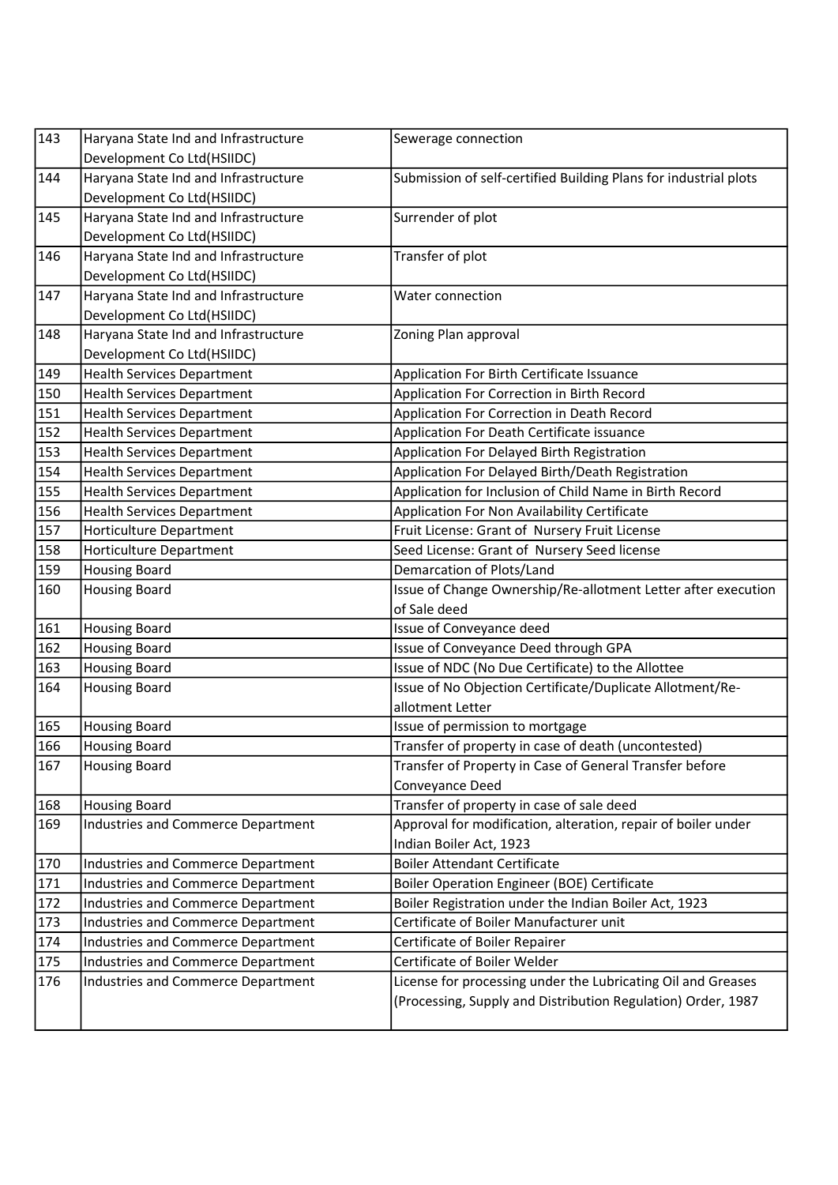| 143 | Haryana State Ind and Infrastructure      | Sewerage connection                                              |
|-----|-------------------------------------------|------------------------------------------------------------------|
|     | Development Co Ltd(HSIIDC)                |                                                                  |
| 144 | Haryana State Ind and Infrastructure      | Submission of self-certified Building Plans for industrial plots |
|     | Development Co Ltd(HSIIDC)                |                                                                  |
| 145 | Haryana State Ind and Infrastructure      | Surrender of plot                                                |
|     | Development Co Ltd(HSIIDC)                |                                                                  |
| 146 | Haryana State Ind and Infrastructure      | Transfer of plot                                                 |
|     | Development Co Ltd(HSIIDC)                |                                                                  |
| 147 | Haryana State Ind and Infrastructure      | Water connection                                                 |
|     | Development Co Ltd(HSIIDC)                |                                                                  |
| 148 | Haryana State Ind and Infrastructure      | Zoning Plan approval                                             |
|     | Development Co Ltd(HSIIDC)                |                                                                  |
| 149 | <b>Health Services Department</b>         | Application For Birth Certificate Issuance                       |
| 150 | <b>Health Services Department</b>         | Application For Correction in Birth Record                       |
| 151 | <b>Health Services Department</b>         | Application For Correction in Death Record                       |
| 152 | <b>Health Services Department</b>         | Application For Death Certificate issuance                       |
| 153 | <b>Health Services Department</b>         | Application For Delayed Birth Registration                       |
| 154 | <b>Health Services Department</b>         | Application For Delayed Birth/Death Registration                 |
| 155 | <b>Health Services Department</b>         | Application for Inclusion of Child Name in Birth Record          |
| 156 | <b>Health Services Department</b>         | Application For Non Availability Certificate                     |
| 157 | <b>Horticulture Department</b>            | Fruit License: Grant of Nursery Fruit License                    |
| 158 | Horticulture Department                   | Seed License: Grant of Nursery Seed license                      |
| 159 | <b>Housing Board</b>                      | Demarcation of Plots/Land                                        |
| 160 | <b>Housing Board</b>                      | Issue of Change Ownership/Re-allotment Letter after execution    |
|     |                                           | of Sale deed                                                     |
| 161 | <b>Housing Board</b>                      | Issue of Conveyance deed                                         |
| 162 | <b>Housing Board</b>                      | Issue of Conveyance Deed through GPA                             |
| 163 | <b>Housing Board</b>                      | Issue of NDC (No Due Certificate) to the Allottee                |
| 164 | <b>Housing Board</b>                      | Issue of No Objection Certificate/Duplicate Allotment/Re-        |
|     |                                           | allotment Letter                                                 |
| 165 | <b>Housing Board</b>                      | Issue of permission to mortgage                                  |
| 166 | <b>Housing Board</b>                      | Transfer of property in case of death (uncontested)              |
| 167 | <b>Housing Board</b>                      | Transfer of Property in Case of General Transfer before          |
|     |                                           |                                                                  |
| 168 |                                           | Conveyance Deed                                                  |
|     | <b>Housing Board</b>                      | Transfer of property in case of sale deed                        |
| 169 | <b>Industries and Commerce Department</b> | Approval for modification, alteration, repair of boiler under    |
|     |                                           | Indian Boiler Act, 1923                                          |
| 170 | Industries and Commerce Department        | <b>Boiler Attendant Certificate</b>                              |
| 171 | <b>Industries and Commerce Department</b> | Boiler Operation Engineer (BOE) Certificate                      |
| 172 | <b>Industries and Commerce Department</b> | Boiler Registration under the Indian Boiler Act, 1923            |
| 173 | Industries and Commerce Department        | Certificate of Boiler Manufacturer unit                          |
| 174 | Industries and Commerce Department        | Certificate of Boiler Repairer                                   |
| 175 | Industries and Commerce Department        | Certificate of Boiler Welder                                     |
| 176 | <b>Industries and Commerce Department</b> | License for processing under the Lubricating Oil and Greases     |
|     |                                           | (Processing, Supply and Distribution Regulation) Order, 1987     |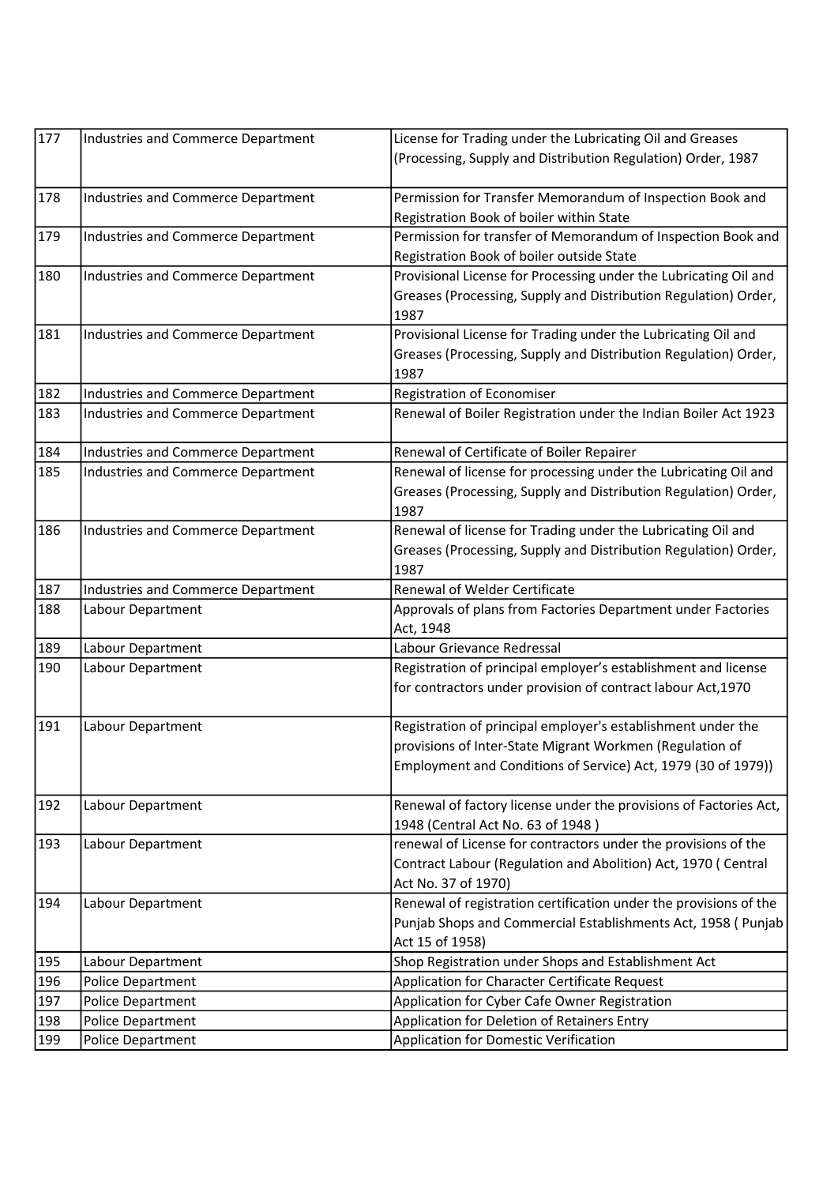| 177 | Industries and Commerce Department        | License for Trading under the Lubricating Oil and Greases         |
|-----|-------------------------------------------|-------------------------------------------------------------------|
|     |                                           | (Processing, Supply and Distribution Regulation) Order, 1987      |
| 178 | <b>Industries and Commerce Department</b> | Permission for Transfer Memorandum of Inspection Book and         |
|     |                                           | Registration Book of boiler within State                          |
| 179 | <b>Industries and Commerce Department</b> | Permission for transfer of Memorandum of Inspection Book and      |
|     |                                           | Registration Book of boiler outside State                         |
| 180 | <b>Industries and Commerce Department</b> | Provisional License for Processing under the Lubricating Oil and  |
|     |                                           | Greases (Processing, Supply and Distribution Regulation) Order,   |
|     |                                           | 1987                                                              |
| 181 | <b>Industries and Commerce Department</b> | Provisional License for Trading under the Lubricating Oil and     |
|     |                                           | Greases (Processing, Supply and Distribution Regulation) Order,   |
|     |                                           | 1987                                                              |
| 182 | <b>Industries and Commerce Department</b> | Registration of Economiser                                        |
| 183 | <b>Industries and Commerce Department</b> | Renewal of Boiler Registration under the Indian Boiler Act 1923   |
| 184 | <b>Industries and Commerce Department</b> | Renewal of Certificate of Boiler Repairer                         |
| 185 | <b>Industries and Commerce Department</b> | Renewal of license for processing under the Lubricating Oil and   |
|     |                                           | Greases (Processing, Supply and Distribution Regulation) Order,   |
|     |                                           | 1987                                                              |
| 186 | Industries and Commerce Department        | Renewal of license for Trading under the Lubricating Oil and      |
|     |                                           | Greases (Processing, Supply and Distribution Regulation) Order,   |
|     |                                           | 1987                                                              |
| 187 | <b>Industries and Commerce Department</b> | Renewal of Welder Certificate                                     |
| 188 | Labour Department                         | Approvals of plans from Factories Department under Factories      |
|     |                                           | Act, 1948                                                         |
| 189 | Labour Department                         | Labour Grievance Redressal                                        |
| 190 | Labour Department                         | Registration of principal employer's establishment and license    |
|     |                                           | for contractors under provision of contract labour Act, 1970      |
| 191 | Labour Department                         | Registration of principal employer's establishment under the      |
|     |                                           | provisions of Inter-State Migrant Workmen (Regulation of          |
|     |                                           | Employment and Conditions of Service) Act, 1979 (30 of 1979))     |
| 192 | Labour Department                         | Renewal of factory license under the provisions of Factories Act, |
|     |                                           | 1948 (Central Act No. 63 of 1948)                                 |
| 193 | Labour Department                         | renewal of License for contractors under the provisions of the    |
|     |                                           | Contract Labour (Regulation and Abolition) Act, 1970 (Central     |
|     |                                           | Act No. 37 of 1970)                                               |
| 194 | Labour Department                         | Renewal of registration certification under the provisions of the |
|     |                                           | Punjab Shops and Commercial Establishments Act, 1958 ( Punjab     |
|     |                                           | Act 15 of 1958)                                                   |
| 195 | Labour Department                         | Shop Registration under Shops and Establishment Act               |
| 196 | Police Department                         | Application for Character Certificate Request                     |
| 197 | Police Department                         | Application for Cyber Cafe Owner Registration                     |
| 198 | Police Department                         | Application for Deletion of Retainers Entry                       |
| 199 | Police Department                         | Application for Domestic Verification                             |
|     |                                           |                                                                   |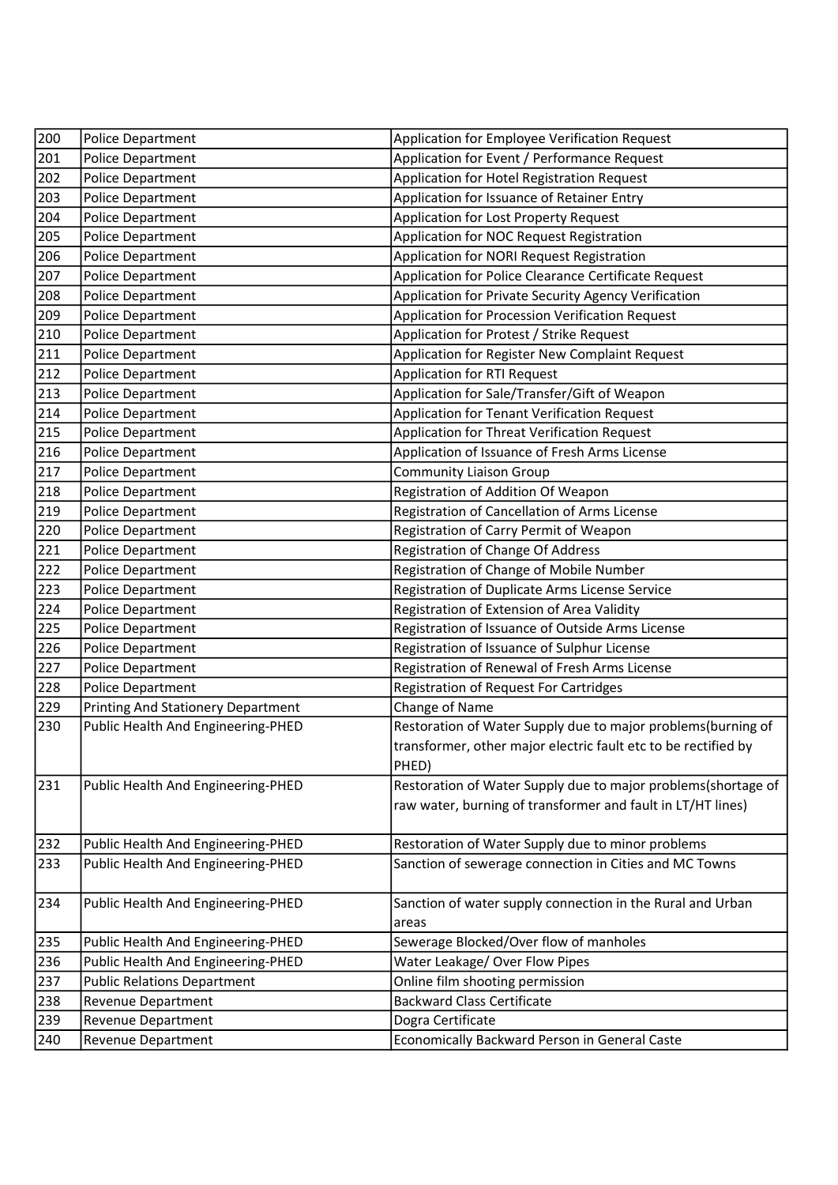| 200 | Police Department                         | Application for Employee Verification Request                  |
|-----|-------------------------------------------|----------------------------------------------------------------|
| 201 | Police Department                         | Application for Event / Performance Request                    |
| 202 | Police Department                         | Application for Hotel Registration Request                     |
| 203 | Police Department                         | Application for Issuance of Retainer Entry                     |
| 204 | Police Department                         | Application for Lost Property Request                          |
| 205 | Police Department                         | Application for NOC Request Registration                       |
| 206 | Police Department                         | Application for NORI Request Registration                      |
| 207 | Police Department                         | Application for Police Clearance Certificate Request           |
| 208 | Police Department                         | Application for Private Security Agency Verification           |
| 209 | Police Department                         | Application for Procession Verification Request                |
| 210 | Police Department                         | Application for Protest / Strike Request                       |
| 211 | Police Department                         | Application for Register New Complaint Request                 |
| 212 | Police Department                         | <b>Application for RTI Request</b>                             |
| 213 | Police Department                         | Application for Sale/Transfer/Gift of Weapon                   |
| 214 | Police Department                         | Application for Tenant Verification Request                    |
| 215 | Police Department                         | Application for Threat Verification Request                    |
| 216 | Police Department                         | Application of Issuance of Fresh Arms License                  |
| 217 | Police Department                         | <b>Community Liaison Group</b>                                 |
| 218 | Police Department                         | Registration of Addition Of Weapon                             |
| 219 | Police Department                         | Registration of Cancellation of Arms License                   |
| 220 | Police Department                         | Registration of Carry Permit of Weapon                         |
| 221 | Police Department                         | Registration of Change Of Address                              |
| 222 | Police Department                         | Registration of Change of Mobile Number                        |
| 223 | Police Department                         | Registration of Duplicate Arms License Service                 |
| 224 | Police Department                         | Registration of Extension of Area Validity                     |
| 225 | Police Department                         | Registration of Issuance of Outside Arms License               |
| 226 | Police Department                         | Registration of Issuance of Sulphur License                    |
| 227 | Police Department                         | Registration of Renewal of Fresh Arms License                  |
| 228 | Police Department                         | Registration of Request For Cartridges                         |
| 229 | <b>Printing And Stationery Department</b> | Change of Name                                                 |
| 230 | Public Health And Engineering-PHED        | Restoration of Water Supply due to major problems(burning of   |
|     |                                           | transformer, other major electric fault etc to be rectified by |
|     |                                           | PHED)                                                          |
| 231 | Public Health And Engineering-PHED        | Restoration of Water Supply due to major problems(shortage of  |
|     |                                           | raw water, burning of transformer and fault in LT/HT lines)    |
|     |                                           |                                                                |
| 232 | Public Health And Engineering-PHED        | Restoration of Water Supply due to minor problems              |
| 233 | Public Health And Engineering-PHED        | Sanction of sewerage connection in Cities and MC Towns         |
|     |                                           |                                                                |
| 234 | Public Health And Engineering-PHED        | Sanction of water supply connection in the Rural and Urban     |
|     |                                           | areas                                                          |
| 235 | Public Health And Engineering-PHED        | Sewerage Blocked/Over flow of manholes                         |
| 236 | Public Health And Engineering-PHED        | Water Leakage/ Over Flow Pipes                                 |
| 237 | <b>Public Relations Department</b>        | Online film shooting permission                                |
| 238 | Revenue Department                        | <b>Backward Class Certificate</b>                              |
| 239 | Revenue Department                        | Dogra Certificate                                              |
| 240 | Revenue Department                        | Economically Backward Person in General Caste                  |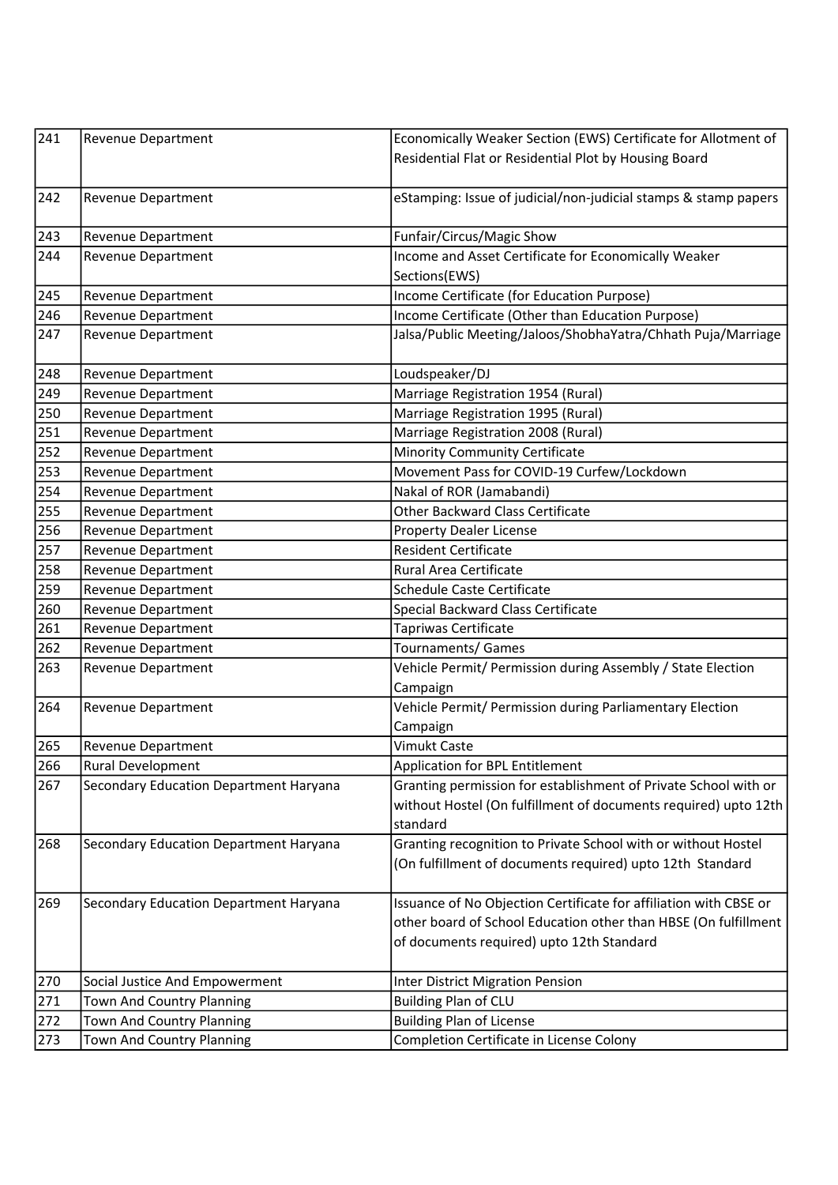| 241 | <b>Revenue Department</b>              | Economically Weaker Section (EWS) Certificate for Allotment of    |
|-----|----------------------------------------|-------------------------------------------------------------------|
|     |                                        | Residential Flat or Residential Plot by Housing Board             |
|     |                                        |                                                                   |
| 242 | Revenue Department                     | eStamping: Issue of judicial/non-judicial stamps & stamp papers   |
|     |                                        |                                                                   |
| 243 | Revenue Department                     | Funfair/Circus/Magic Show                                         |
| 244 | Revenue Department                     | Income and Asset Certificate for Economically Weaker              |
|     |                                        | Sections(EWS)                                                     |
| 245 | Revenue Department                     | Income Certificate (for Education Purpose)                        |
| 246 | Revenue Department                     | Income Certificate (Other than Education Purpose)                 |
| 247 | Revenue Department                     | Jalsa/Public Meeting/Jaloos/ShobhaYatra/Chhath Puja/Marriage      |
|     |                                        |                                                                   |
| 248 | Revenue Department                     | Loudspeaker/DJ                                                    |
| 249 | Revenue Department                     | Marriage Registration 1954 (Rural)                                |
| 250 | Revenue Department                     | Marriage Registration 1995 (Rural)                                |
| 251 | Revenue Department                     | Marriage Registration 2008 (Rural)                                |
| 252 | Revenue Department                     | <b>Minority Community Certificate</b>                             |
| 253 | Revenue Department                     | Movement Pass for COVID-19 Curfew/Lockdown                        |
| 254 | Revenue Department                     | Nakal of ROR (Jamabandi)                                          |
| 255 | <b>Revenue Department</b>              | <b>Other Backward Class Certificate</b>                           |
| 256 | Revenue Department                     | <b>Property Dealer License</b>                                    |
| 257 | Revenue Department                     | <b>Resident Certificate</b>                                       |
| 258 | Revenue Department                     | Rural Area Certificate                                            |
| 259 | Revenue Department                     | <b>Schedule Caste Certificate</b>                                 |
| 260 | Revenue Department                     | Special Backward Class Certificate                                |
| 261 | Revenue Department                     | Tapriwas Certificate                                              |
| 262 | Revenue Department                     | Tournaments/ Games                                                |
| 263 | Revenue Department                     | Vehicle Permit/ Permission during Assembly / State Election       |
|     |                                        | Campaign                                                          |
| 264 | Revenue Department                     | Vehicle Permit/ Permission during Parliamentary Election          |
|     |                                        | Campaign                                                          |
| 265 | Revenue Department                     | <b>Vimukt Caste</b>                                               |
| 266 | Rural Development                      | Application for BPL Entitlement                                   |
| 267 | Secondary Education Department Haryana | Granting permission for establishment of Private School with or   |
|     |                                        | without Hostel (On fulfillment of documents required) upto 12th   |
|     |                                        | standard                                                          |
| 268 | Secondary Education Department Haryana | Granting recognition to Private School with or without Hostel     |
|     |                                        | (On fulfillment of documents required) upto 12th Standard         |
|     |                                        |                                                                   |
| 269 | Secondary Education Department Haryana | Issuance of No Objection Certificate for affiliation with CBSE or |
|     |                                        | other board of School Education other than HBSE (On fulfillment   |
|     |                                        | of documents required) upto 12th Standard                         |
|     |                                        |                                                                   |
| 270 | Social Justice And Empowerment         | <b>Inter District Migration Pension</b>                           |
| 271 | Town And Country Planning              | <b>Building Plan of CLU</b>                                       |
| 272 | Town And Country Planning              | <b>Building Plan of License</b>                                   |
| 273 | Town And Country Planning              | Completion Certificate in License Colony                          |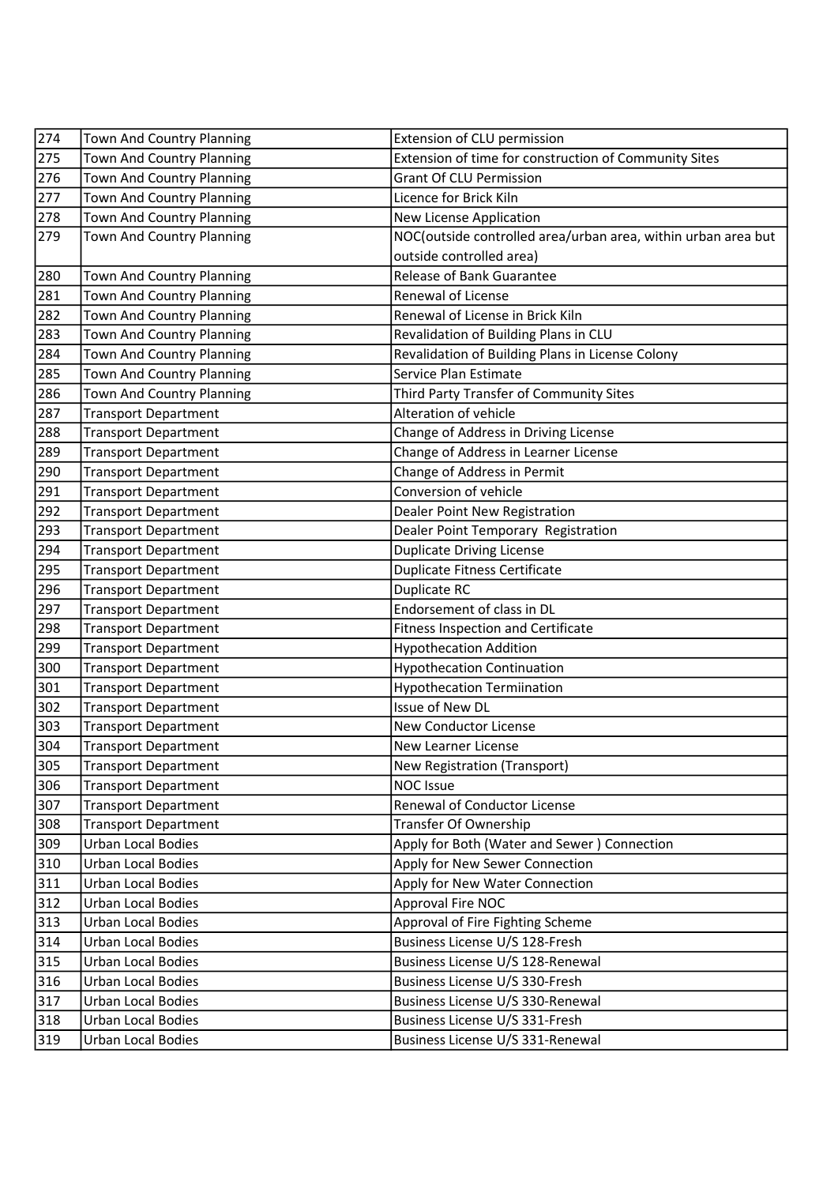| 274          | Town And Country Planning        | Extension of CLU permission                                   |
|--------------|----------------------------------|---------------------------------------------------------------|
| 275          | <b>Town And Country Planning</b> | Extension of time for construction of Community Sites         |
| 276          | Town And Country Planning        | <b>Grant Of CLU Permission</b>                                |
| 277          | Town And Country Planning        | Licence for Brick Kiln                                        |
| 278          | Town And Country Planning        | New License Application                                       |
| 279          | Town And Country Planning        | NOC(outside controlled area/urban area, within urban area but |
|              |                                  | outside controlled area)                                      |
| 280          | Town And Country Planning        | Release of Bank Guarantee                                     |
| 281          | Town And Country Planning        | Renewal of License                                            |
| $\sqrt{282}$ | Town And Country Planning        | Renewal of License in Brick Kiln                              |
| 283          | Town And Country Planning        | Revalidation of Building Plans in CLU                         |
| 284          | Town And Country Planning        | Revalidation of Building Plans in License Colony              |
| 285          | Town And Country Planning        | Service Plan Estimate                                         |
| 286          | Town And Country Planning        | Third Party Transfer of Community Sites                       |
| 287          | <b>Transport Department</b>      | Alteration of vehicle                                         |
| 288          | <b>Transport Department</b>      | Change of Address in Driving License                          |
| 289          | <b>Transport Department</b>      | Change of Address in Learner License                          |
| 290          | <b>Transport Department</b>      | Change of Address in Permit                                   |
| 291          | <b>Transport Department</b>      | Conversion of vehicle                                         |
| 292          | <b>Transport Department</b>      | Dealer Point New Registration                                 |
| 293          | <b>Transport Department</b>      | Dealer Point Temporary Registration                           |
| 294          | <b>Transport Department</b>      | <b>Duplicate Driving License</b>                              |
| 295          | <b>Transport Department</b>      | <b>Duplicate Fitness Certificate</b>                          |
| 296          | <b>Transport Department</b>      | Duplicate RC                                                  |
| 297          | <b>Transport Department</b>      | Endorsement of class in DL                                    |
| 298          | <b>Transport Department</b>      | Fitness Inspection and Certificate                            |
| 299          | <b>Transport Department</b>      | <b>Hypothecation Addition</b>                                 |
| 300          | <b>Transport Department</b>      | <b>Hypothecation Continuation</b>                             |
| 301          | <b>Transport Department</b>      | <b>Hypothecation Termiination</b>                             |
| 302          | <b>Transport Department</b>      | Issue of New DL                                               |
| 303          | <b>Transport Department</b>      | New Conductor License                                         |
| 304          | <b>Transport Department</b>      | New Learner License                                           |
| 305          | <b>Transport Department</b>      | <b>New Registration (Transport)</b>                           |
| 306          | <b>Transport Department</b>      | <b>NOC Issue</b>                                              |
| 307          | <b>Transport Department</b>      | Renewal of Conductor License                                  |
| 308          | <b>Transport Department</b>      | Transfer Of Ownership                                         |
| 309          | Urban Local Bodies               | Apply for Both (Water and Sewer) Connection                   |
| 310          | Urban Local Bodies               | Apply for New Sewer Connection                                |
| 311          | Urban Local Bodies               | Apply for New Water Connection                                |
| 312          | <b>Urban Local Bodies</b>        | Approval Fire NOC                                             |
| 313          | <b>Urban Local Bodies</b>        | Approval of Fire Fighting Scheme                              |
| 314          | Urban Local Bodies               | Business License U/S 128-Fresh                                |
| 315          | <b>Urban Local Bodies</b>        | Business License U/S 128-Renewal                              |
| 316          | <b>Urban Local Bodies</b>        | Business License U/S 330-Fresh                                |
| 317          | Urban Local Bodies               | Business License U/S 330-Renewal                              |
| 318          | <b>Urban Local Bodies</b>        | Business License U/S 331-Fresh                                |
| 319          | Urban Local Bodies               | Business License U/S 331-Renewal                              |